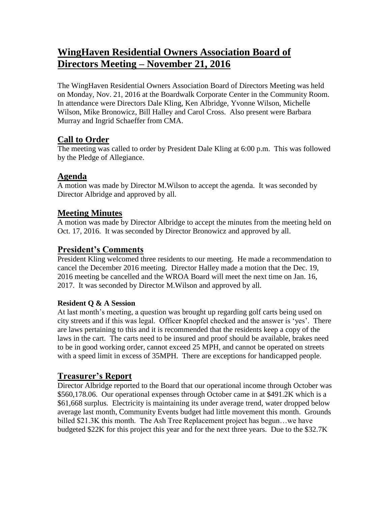# **WingHaven Residential Owners Association Board of Directors Meeting – November 21, 2016**

The WingHaven Residential Owners Association Board of Directors Meeting was held on Monday, Nov. 21, 2016 at the Boardwalk Corporate Center in the Community Room. In attendance were Directors Dale Kling, Ken Albridge, Yvonne Wilson, Michelle Wilson, Mike Bronowicz, Bill Halley and Carol Cross. Also present were Barbara Murray and Ingrid Schaeffer from CMA.

### **Call to Order**

The meeting was called to order by President Dale Kling at 6:00 p.m. This was followed by the Pledge of Allegiance.

## **Agenda**

A motion was made by Director M.Wilson to accept the agenda. It was seconded by Director Albridge and approved by all.

### **Meeting Minutes**

A motion was made by Director Albridge to accept the minutes from the meeting held on Oct. 17, 2016. It was seconded by Director Bronowicz and approved by all.

# **President's Comments**

President Kling welcomed three residents to our meeting. He made a recommendation to cancel the December 2016 meeting. Director Halley made a motion that the Dec. 19, 2016 meeting be cancelled and the WROA Board will meet the next time on Jan. 16, 2017. It was seconded by Director M.Wilson and approved by all.

#### **Resident Q & A Session**

At last month's meeting, a question was brought up regarding golf carts being used on city streets and if this was legal. Officer Knopfel checked and the answer is 'yes'. There are laws pertaining to this and it is recommended that the residents keep a copy of the laws in the cart. The carts need to be insured and proof should be available, brakes need to be in good working order, cannot exceed 25 MPH, and cannot be operated on streets with a speed limit in excess of 35MPH. There are exceptions for handicapped people.

### **Treasurer's Report**

Director Albridge reported to the Board that our operational income through October was \$560,178.06. Our operational expenses through October came in at \$491.2K which is a \$61,668 surplus. Electricity is maintaining its under average trend, water dropped below average last month, Community Events budget had little movement this month. Grounds billed \$21.3K this month. The Ash Tree Replacement project has begun…we have budgeted \$22K for this project this year and for the next three years. Due to the \$32.7K